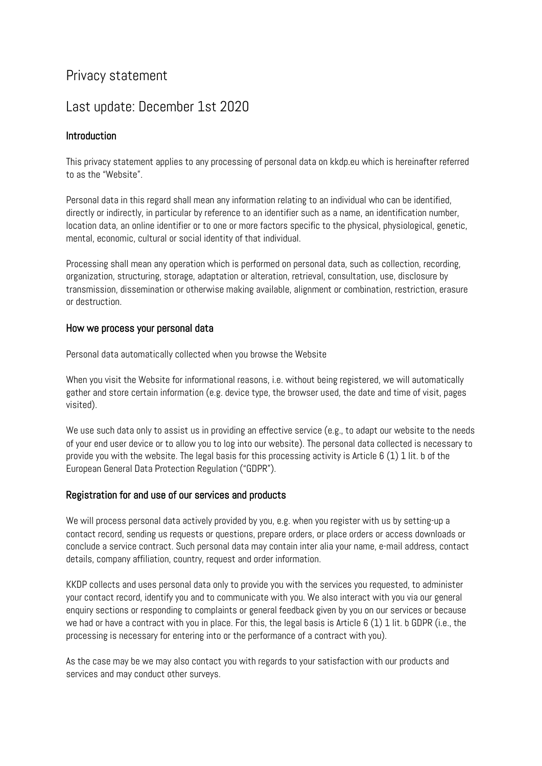# Privacy statement

# Last update: December 1st 2020

# Introduction

This privacy statement applies to any processing of personal data on kkdp.eu which is hereinafter referred to as the "Website".

Personal data in this regard shall mean any information relating to an individual who can be identified, directly or indirectly, in particular by reference to an identifier such as a name, an identification number, location data, an online identifier or to one or more factors specific to the physical, physiological, genetic, mental, economic, cultural or social identity of that individual.

Processing shall mean any operation which is performed on personal data, such as collection, recording, organization, structuring, storage, adaptation or alteration, retrieval, consultation, use, disclosure by transmission, dissemination or otherwise making available, alignment or combination, restriction, erasure or destruction.

## How we process your personal data

Personal data automatically collected when you browse the Website

When you visit the Website for informational reasons, i.e. without being registered, we will automatically gather and store certain information (e.g. device type, the browser used, the date and time of visit, pages visited).

We use such data only to assist us in providing an effective service (e.g., to adapt our website to the needs of your end user device or to allow you to log into our website). The personal data collected is necessary to provide you with the website. The legal basis for this processing activity is Article 6 (1) 1 lit. b of the European General Data Protection Regulation ("GDPR").

## Registration for and use of our services and products

We will process personal data actively provided by you, e.g. when you register with us by setting-up a contact record, sending us requests or questions, prepare orders, or place orders or access downloads or conclude a service contract. Such personal data may contain inter alia your name, e-mail address, contact details, company affiliation, country, request and order information.

KKDP collects and uses personal data only to provide you with the services you requested, to administer your contact record, identify you and to communicate with you. We also interact with you via our general enquiry sections or responding to complaints or general feedback given by you on our services or because we had or have a contract with you in place. For this, the legal basis is Article 6 (1) 1 lit. b GDPR (i.e., the processing is necessary for entering into or the performance of a contract with you).

As the case may be we may also contact you with regards to your satisfaction with our products and services and may conduct other surveys.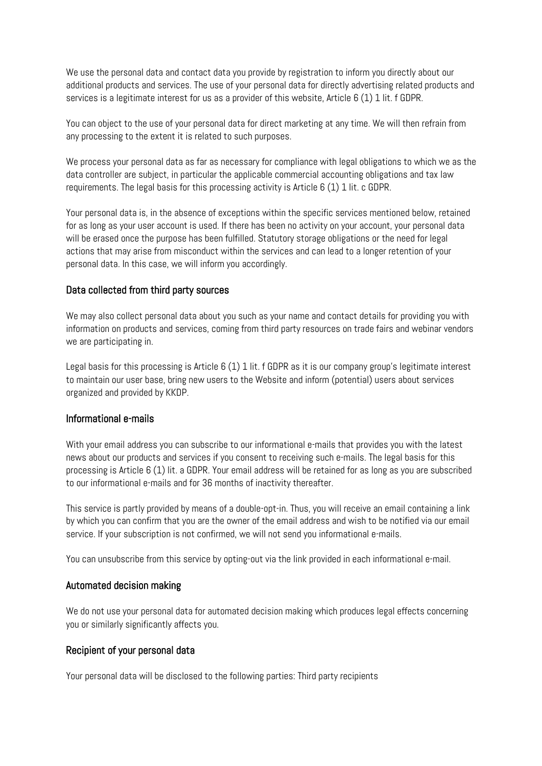We use the personal data and contact data you provide by registration to inform you directly about our additional products and services. The use of your personal data for directly advertising related products and services is a legitimate interest for us as a provider of this website, Article 6 (1) 1 lit. f GDPR.

You can object to the use of your personal data for direct marketing at any time. We will then refrain from any processing to the extent it is related to such purposes.

We process your personal data as far as necessary for compliance with legal obligations to which we as the data controller are subject, in particular the applicable commercial accounting obligations and tax law requirements. The legal basis for this processing activity is Article 6 (1) 1 lit. c GDPR.

Your personal data is, in the absence of exceptions within the specific services mentioned below, retained for as long as your user account is used. If there has been no activity on your account, your personal data will be erased once the purpose has been fulfilled. Statutory storage obligations or the need for legal actions that may arise from misconduct within the services and can lead to a longer retention of your personal data. In this case, we will inform you accordingly.

## Data collected from third party sources

We may also collect personal data about you such as your name and contact details for providing you with information on products and services, coming from third party resources on trade fairs and webinar vendors we are participating in.

Legal basis for this processing is Article 6 (1) 1 lit. f GDPR as it is our company group's legitimate interest to maintain our user base, bring new users to the Website and inform (potential) users about services organized and provided by KKDP.

#### Informational e-mails

With your email address you can subscribe to our informational e-mails that provides you with the latest news about our products and services if you consent to receiving such e-mails. The legal basis for this processing is Article 6 (1) lit. a GDPR. Your email address will be retained for as long as you are subscribed to our informational e-mails and for 36 months of inactivity thereafter.

This service is partly provided by means of a double-opt-in. Thus, you will receive an email containing a link by which you can confirm that you are the owner of the email address and wish to be notified via our email service. If your subscription is not confirmed, we will not send you informational e-mails.

You can unsubscribe from this service by opting-out via the link provided in each informational e-mail.

## Automated decision making

We do not use your personal data for automated decision making which produces legal effects concerning you or similarly significantly affects you.

## Recipient of your personal data

Your personal data will be disclosed to the following parties: Third party recipients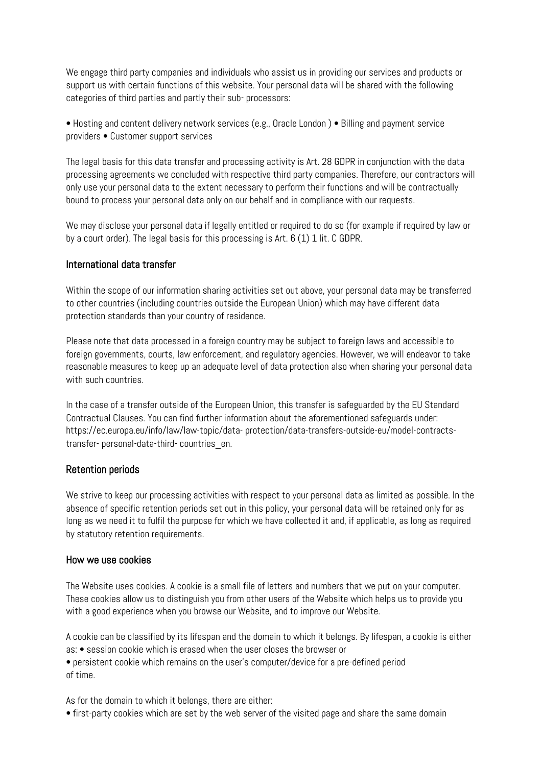We engage third party companies and individuals who assist us in providing our services and products or support us with certain functions of this website. Your personal data will be shared with the following categories of third parties and partly their sub- processors:

• Hosting and content delivery network services (e.g., Oracle London ) • Billing and payment service providers • Customer support services

The legal basis for this data transfer and processing activity is Art. 28 GDPR in conjunction with the data processing agreements we concluded with respective third party companies. Therefore, our contractors will only use your personal data to the extent necessary to perform their functions and will be contractually bound to process your personal data only on our behalf and in compliance with our requests.

We may disclose your personal data if legally entitled or required to do so (for example if required by law or by a court order). The legal basis for this processing is Art. 6 (1) 1 lit. C GDPR.

### International data transfer

Within the scope of our information sharing activities set out above, your personal data may be transferred to other countries (including countries outside the European Union) which may have different data protection standards than your country of residence.

Please note that data processed in a foreign country may be subject to foreign laws and accessible to foreign governments, courts, law enforcement, and regulatory agencies. However, we will endeavor to take reasonable measures to keep up an adequate level of data protection also when sharing your personal data with such countries.

In the case of a transfer outside of the European Union, this transfer is safeguarded by the EU Standard Contractual Clauses. You can find further information about the aforementioned safeguards under: https://ec.europa.eu/info/law/law-topic/data- protection/data-transfers-outside-eu/model-contractstransfer- personal-data-third- countries\_en.

## Retention periods

We strive to keep our processing activities with respect to your personal data as limited as possible. In the absence of specific retention periods set out in this policy, your personal data will be retained only for as long as we need it to fulfil the purpose for which we have collected it and, if applicable, as long as required by statutory retention requirements.

#### How we use cookies

The Website uses cookies. A cookie is a small file of letters and numbers that we put on your computer. These cookies allow us to distinguish you from other users of the Website which helps us to provide you with a good experience when you browse our Website, and to improve our Website.

A cookie can be classified by its lifespan and the domain to which it belongs. By lifespan, a cookie is either as: • session cookie which is erased when the user closes the browser or

• persistent cookie which remains on the user's computer/device for a pre-defined period of time.

As for the domain to which it belongs, there are either:

• first-party cookies which are set by the web server of the visited page and share the same domain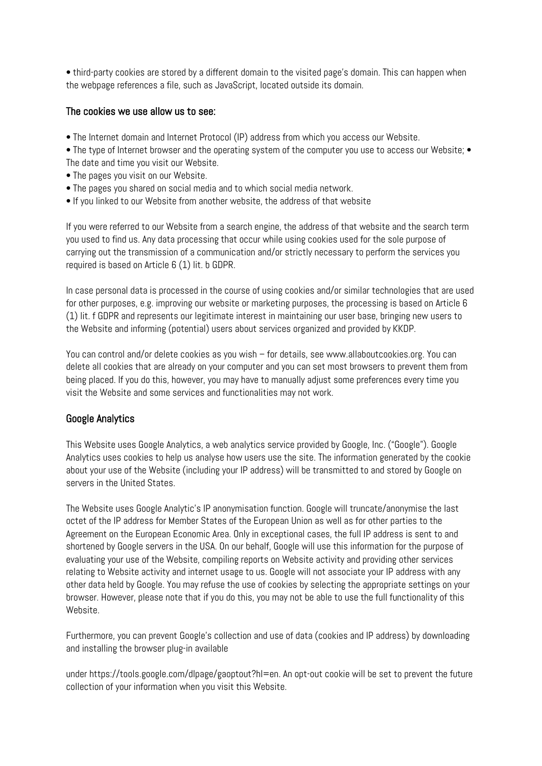• third-party cookies are stored by a different domain to the visited page's domain. This can happen when the webpage references a file, such as JavaScript, located outside its domain.

## The cookies we use allow us to see:

• The Internet domain and Internet Protocol (IP) address from which you access our Website.

• The type of Internet browser and the operating system of the computer you use to access our Website; • The date and time you visit our Website.

- The pages you visit on our Website.
- The pages you shared on social media and to which social media network.
- If you linked to our Website from another website, the address of that website

If you were referred to our Website from a search engine, the address of that website and the search term you used to find us. Any data processing that occur while using cookies used for the sole purpose of carrying out the transmission of a communication and/or strictly necessary to perform the services you required is based on Article 6 (1) lit. b GDPR.

In case personal data is processed in the course of using cookies and/or similar technologies that are used for other purposes, e.g. improving our website or marketing purposes, the processing is based on Article 6 (1) lit. f GDPR and represents our legitimate interest in maintaining our user base, bringing new users to the Website and informing (potential) users about services organized and provided by KKDP.

You can control and/or delete cookies as you wish – for details, see www.allaboutcookies.org. You can delete all cookies that are already on your computer and you can set most browsers to prevent them from being placed. If you do this, however, you may have to manually adjust some preferences every time you visit the Website and some services and functionalities may not work.

## Google Analytics

This Website uses Google Analytics, a web analytics service provided by Google, Inc. ("Google"). Google Analytics uses cookies to help us analyse how users use the site. The information generated by the cookie about your use of the Website (including your IP address) will be transmitted to and stored by Google on servers in the United States.

The Website uses Google Analytic's IP anonymisation function. Google will truncate/anonymise the last octet of the IP address for Member States of the European Union as well as for other parties to the Agreement on the European Economic Area. Only in exceptional cases, the full IP address is sent to and shortened by Google servers in the USA. On our behalf, Google will use this information for the purpose of evaluating your use of the Website, compiling reports on Website activity and providing other services relating to Website activity and internet usage to us. Google will not associate your IP address with any other data held by Google. You may refuse the use of cookies by selecting the appropriate settings on your browser. However, please note that if you do this, you may not be able to use the full functionality of this Website.

Furthermore, you can prevent Google's collection and use of data (cookies and IP address) by downloading and installing the browser plug-in available

under https://tools.google.com/dlpage/gaoptout?hl=en. An opt-out cookie will be set to prevent the future collection of your information when you visit this Website.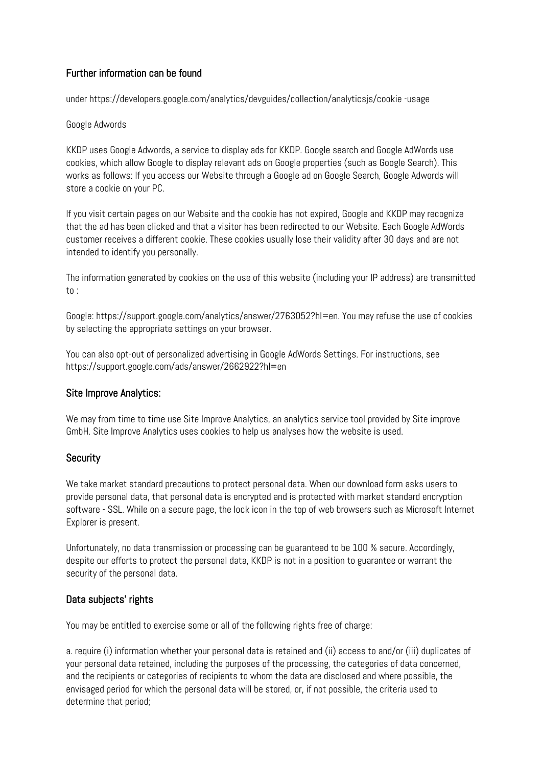# Further information can be found

under https://developers.google.com/analytics/devguides/collection/analyticsjs/cookie -usage

## Google Adwords

KKDP uses Google Adwords, a service to display ads for KKDP. Google search and Google AdWords use cookies, which allow Google to display relevant ads on Google properties (such as Google Search). This works as follows: If you access our Website through a Google ad on Google Search, Google Adwords will store a cookie on your PC.

If you visit certain pages on our Website and the cookie has not expired, Google and KKDP may recognize that the ad has been clicked and that a visitor has been redirected to our Website. Each Google AdWords customer receives a different cookie. These cookies usually lose their validity after 30 days and are not intended to identify you personally.

The information generated by cookies on the use of this website (including your IP address) are transmitted to :

Google: https://support.google.com/analytics/answer/2763052?hl=en. You may refuse the use of cookies by selecting the appropriate settings on your browser.

You can also opt-out of personalized advertising in Google AdWords Settings. For instructions, see https://support.google.com/ads/answer/2662922?hl=en

## Site Improve Analytics:

We may from time to time use Site Improve Analytics, an analytics service tool provided by Site improve GmbH. Site Improve Analytics uses cookies to help us analyses how the website is used.

## **Security**

We take market standard precautions to protect personal data. When our download form asks users to provide personal data, that personal data is encrypted and is protected with market standard encryption software - SSL. While on a secure page, the lock icon in the top of web browsers such as Microsoft Internet Explorer is present.

Unfortunately, no data transmission or processing can be guaranteed to be 100 % secure. Accordingly, despite our efforts to protect the personal data, KKDP is not in a position to guarantee or warrant the security of the personal data.

## Data subjects' rights

You may be entitled to exercise some or all of the following rights free of charge:

a. require (i) information whether your personal data is retained and (ii) access to and/or (iii) duplicates of your personal data retained, including the purposes of the processing, the categories of data concerned, and the recipients or categories of recipients to whom the data are disclosed and where possible, the envisaged period for which the personal data will be stored, or, if not possible, the criteria used to determine that period;